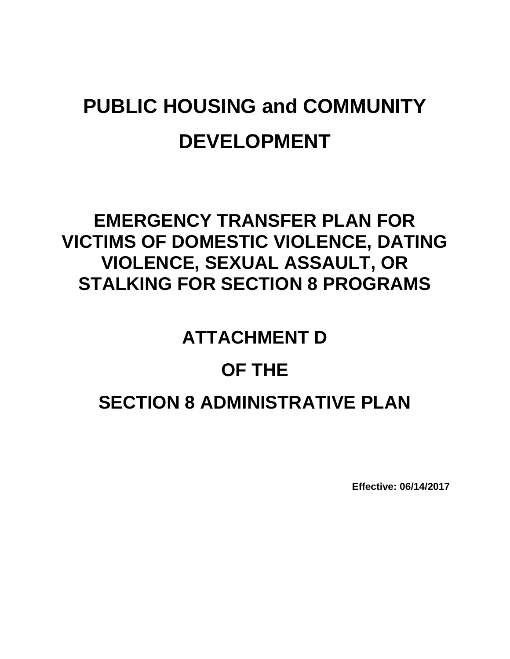# **PUBLIC HOUSING and COMMUNITY DEVELOPMENT**

### **EMERGENCY TRANSFER PLAN FOR VICTIMS OF DOMESTIC VIOLENCE, DATING VIOLENCE, SEXUAL ASSAULT, OR STALKING FOR SECTION 8 PROGRAMS**

## **ATTACHMENT D**

### **OF THE**

### **SECTION 8 ADMINISTRATIVE PLAN**

**Effective: 06/14/2017**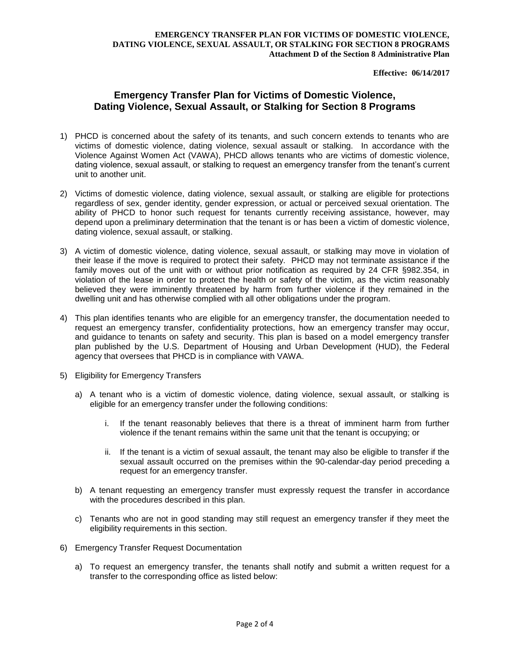#### **EMERGENCY TRANSFER PLAN FOR VICTIMS OF DOMESTIC VIOLENCE, DATING VIOLENCE, SEXUAL ASSAULT, OR STALKING FOR SECTION 8 PROGRAMS Attachment D of the Section 8 Administrative Plan**

**Effective: 06/14/2017**

### **Emergency Transfer Plan for Victims of Domestic Violence, Dating Violence, Sexual Assault, or Stalking for Section 8 Programs**

- 1) PHCD is concerned about the safety of its tenants, and such concern extends to tenants who are victims of domestic violence, dating violence, sexual assault or stalking. In accordance with the Violence Against Women Act (VAWA), PHCD allows tenants who are victims of domestic violence, dating violence, sexual assault, or stalking to request an emergency transfer from the tenant's current unit to another unit.
- 2) Victims of domestic violence, dating violence, sexual assault, or stalking are eligible for protections regardless of sex, gender identity, gender expression, or actual or perceived sexual orientation. The ability of PHCD to honor such request for tenants currently receiving assistance, however, may depend upon a preliminary determination that the tenant is or has been a victim of domestic violence, dating violence, sexual assault, or stalking.
- 3) A victim of domestic violence, dating violence, sexual assault, or stalking may move in violation of their lease if the move is required to protect their safety. PHCD may not terminate assistance if the family moves out of the unit with or without prior notification as required by 24 CFR §982.354, in violation of the lease in order to protect the health or safety of the victim, as the victim reasonably believed they were imminently threatened by harm from further violence if they remained in the dwelling unit and has otherwise complied with all other obligations under the program.
- 4) This plan identifies tenants who are eligible for an emergency transfer, the documentation needed to request an emergency transfer, confidentiality protections, how an emergency transfer may occur, and guidance to tenants on safety and security. This plan is based on a model emergency transfer plan published by the U.S. Department of Housing and Urban Development (HUD), the Federal agency that oversees that PHCD is in compliance with VAWA.
- 5) Eligibility for Emergency Transfers
	- a) A tenant who is a victim of domestic violence, dating violence, sexual assault, or stalking is eligible for an emergency transfer under the following conditions:
		- i. If the tenant reasonably believes that there is a threat of imminent harm from further violence if the tenant remains within the same unit that the tenant is occupying; or
		- ii. If the tenant is a victim of sexual assault, the tenant may also be eligible to transfer if the sexual assault occurred on the premises within the 90-calendar-day period preceding a request for an emergency transfer.
	- b) A tenant requesting an emergency transfer must expressly request the transfer in accordance with the procedures described in this plan.
	- c) Tenants who are not in good standing may still request an emergency transfer if they meet the eligibility requirements in this section.
- 6) Emergency Transfer Request Documentation
	- a) To request an emergency transfer, the tenants shall notify and submit a written request for a transfer to the corresponding office as listed below: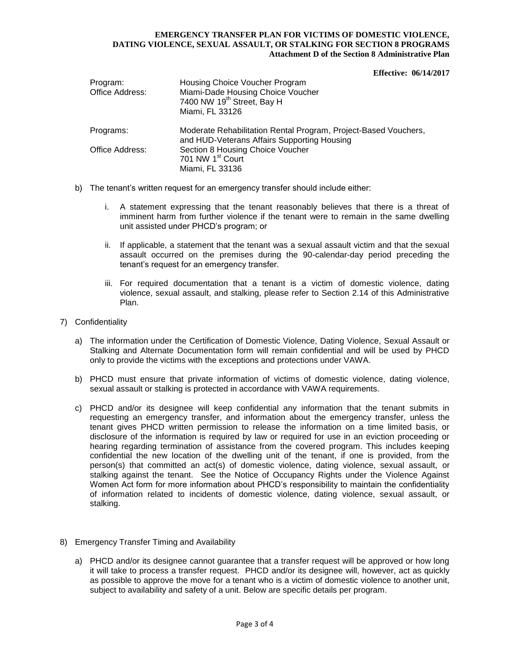#### **EMERGENCY TRANSFER PLAN FOR VICTIMS OF DOMESTIC VIOLENCE, DATING VIOLENCE, SEXUAL ASSAULT, OR STALKING FOR SECTION 8 PROGRAMS Attachment D of the Section 8 Administrative Plan**

**Effective: 06/14/2017**

| Program:<br>Office Address: | Housing Choice Voucher Program<br>Miami-Dade Housing Choice Voucher<br>7400 NW 19 <sup>th</sup> Street, Bay H<br>Miami, FL 33126 |
|-----------------------------|----------------------------------------------------------------------------------------------------------------------------------|
| Programs:                   | Moderate Rehabilitation Rental Program, Project-Based Vouchers,<br>and HUD-Veterans Affairs Supporting Housing                   |
| Office Address:             | Section 8 Housing Choice Voucher<br>701 NW 1 <sup>st</sup> Court<br>Miami, FL 33136                                              |

- b) The tenant's written request for an emergency transfer should include either:
	- i. A statement expressing that the tenant reasonably believes that there is a threat of imminent harm from further violence if the tenant were to remain in the same dwelling unit assisted under PHCD's program; or
	- ii. If applicable, a statement that the tenant was a sexual assault victim and that the sexual assault occurred on the premises during the 90-calendar-day period preceding the tenant's request for an emergency transfer.
	- iii. For required documentation that a tenant is a victim of domestic violence, dating violence, sexual assault, and stalking, please refer to Section 2.14 of this Administrative Plan.
- 7) Confidentiality
	- a) The information under the Certification of Domestic Violence, Dating Violence, Sexual Assault or Stalking and Alternate Documentation form will remain confidential and will be used by PHCD only to provide the victims with the exceptions and protections under VAWA.
	- b) PHCD must ensure that private information of victims of domestic violence, dating violence, sexual assault or stalking is protected in accordance with VAWA requirements.
	- c) PHCD and/or its designee will keep confidential any information that the tenant submits in requesting an emergency transfer, and information about the emergency transfer, unless the tenant gives PHCD written permission to release the information on a time limited basis, or disclosure of the information is required by law or required for use in an eviction proceeding or hearing regarding termination of assistance from the covered program. This includes keeping confidential the new location of the dwelling unit of the tenant, if one is provided, from the person(s) that committed an act(s) of domestic violence, dating violence, sexual assault, or stalking against the tenant. See the Notice of Occupancy Rights under the Violence Against Women Act form for more information about PHCD's responsibility to maintain the confidentiality of information related to incidents of domestic violence, dating violence, sexual assault, or stalking.
- 8) Emergency Transfer Timing and Availability
	- a) PHCD and/or its designee cannot guarantee that a transfer request will be approved or how long it will take to process a transfer request. PHCD and/or its designee will, however, act as quickly as possible to approve the move for a tenant who is a victim of domestic violence to another unit, subject to availability and safety of a unit. Below are specific details per program.